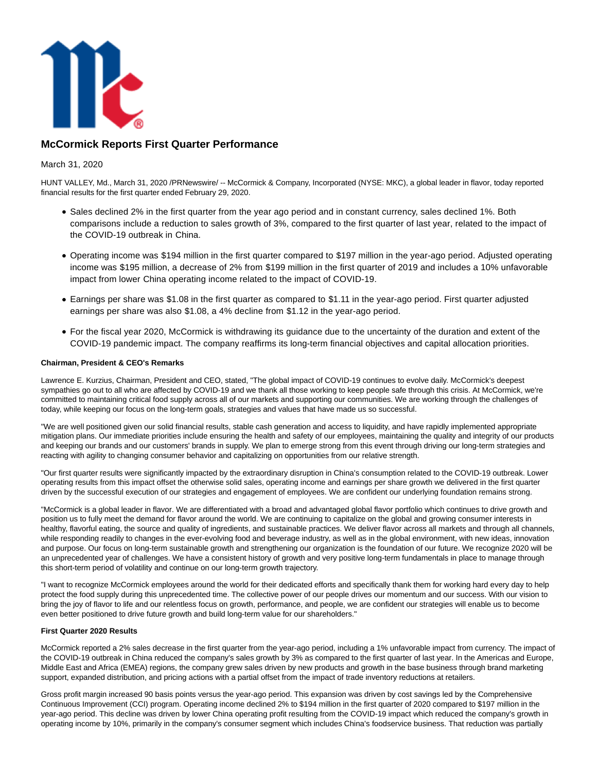

## **McCormick Reports First Quarter Performance**

### March 31, 2020

HUNT VALLEY, Md., March 31, 2020 /PRNewswire/ -- McCormick & Company, Incorporated (NYSE: MKC), a global leader in flavor, today reported financial results for the first quarter ended February 29, 2020.

- Sales declined 2% in the first quarter from the year ago period and in constant currency, sales declined 1%. Both comparisons include a reduction to sales growth of 3%, compared to the first quarter of last year, related to the impact of the COVID-19 outbreak in China.
- Operating income was \$194 million in the first quarter compared to \$197 million in the year-ago period. Adjusted operating income was \$195 million, a decrease of 2% from \$199 million in the first quarter of 2019 and includes a 10% unfavorable impact from lower China operating income related to the impact of COVID-19.
- Earnings per share was \$1.08 in the first quarter as compared to \$1.11 in the year-ago period. First quarter adjusted earnings per share was also \$1.08, a 4% decline from \$1.12 in the year-ago period.
- For the fiscal year 2020, McCormick is withdrawing its guidance due to the uncertainty of the duration and extent of the COVID-19 pandemic impact. The company reaffirms its long-term financial objectives and capital allocation priorities.

#### **Chairman, President & CEO's Remarks**

Lawrence E. Kurzius, Chairman, President and CEO, stated, "The global impact of COVID-19 continues to evolve daily. McCormick's deepest sympathies go out to all who are affected by COVID-19 and we thank all those working to keep people safe through this crisis. At McCormick, we're committed to maintaining critical food supply across all of our markets and supporting our communities. We are working through the challenges of today, while keeping our focus on the long-term goals, strategies and values that have made us so successful.

"We are well positioned given our solid financial results, stable cash generation and access to liquidity, and have rapidly implemented appropriate mitigation plans. Our immediate priorities include ensuring the health and safety of our employees, maintaining the quality and integrity of our products and keeping our brands and our customers' brands in supply. We plan to emerge strong from this event through driving our long-term strategies and reacting with agility to changing consumer behavior and capitalizing on opportunities from our relative strength.

"Our first quarter results were significantly impacted by the extraordinary disruption in China's consumption related to the COVID-19 outbreak. Lower operating results from this impact offset the otherwise solid sales, operating income and earnings per share growth we delivered in the first quarter driven by the successful execution of our strategies and engagement of employees. We are confident our underlying foundation remains strong.

"McCormick is a global leader in flavor. We are differentiated with a broad and advantaged global flavor portfolio which continues to drive growth and position us to fully meet the demand for flavor around the world. We are continuing to capitalize on the global and growing consumer interests in healthy, flavorful eating, the source and quality of ingredients, and sustainable practices. We deliver flavor across all markets and through all channels, while responding readily to changes in the ever-evolving food and beverage industry, as well as in the global environment, with new ideas, innovation and purpose. Our focus on long-term sustainable growth and strengthening our organization is the foundation of our future. We recognize 2020 will be an unprecedented year of challenges. We have a consistent history of growth and very positive long-term fundamentals in place to manage through this short-term period of volatility and continue on our long-term growth trajectory.

"I want to recognize McCormick employees around the world for their dedicated efforts and specifically thank them for working hard every day to help protect the food supply during this unprecedented time. The collective power of our people drives our momentum and our success. With our vision to bring the joy of flavor to life and our relentless focus on growth, performance, and people, we are confident our strategies will enable us to become even better positioned to drive future growth and build long-term value for our shareholders."

#### **First Quarter 2020 Results**

McCormick reported a 2% sales decrease in the first quarter from the year-ago period, including a 1% unfavorable impact from currency. The impact of the COVID-19 outbreak in China reduced the company's sales growth by 3% as compared to the first quarter of last year. In the Americas and Europe, Middle East and Africa (EMEA) regions, the company grew sales driven by new products and growth in the base business through brand marketing support, expanded distribution, and pricing actions with a partial offset from the impact of trade inventory reductions at retailers.

Gross profit margin increased 90 basis points versus the year-ago period. This expansion was driven by cost savings led by the Comprehensive Continuous Improvement (CCI) program. Operating income declined 2% to \$194 million in the first quarter of 2020 compared to \$197 million in the year-ago period. This decline was driven by lower China operating profit resulting from the COVID-19 impact which reduced the company's growth in operating income by 10%, primarily in the company's consumer segment which includes China's foodservice business. That reduction was partially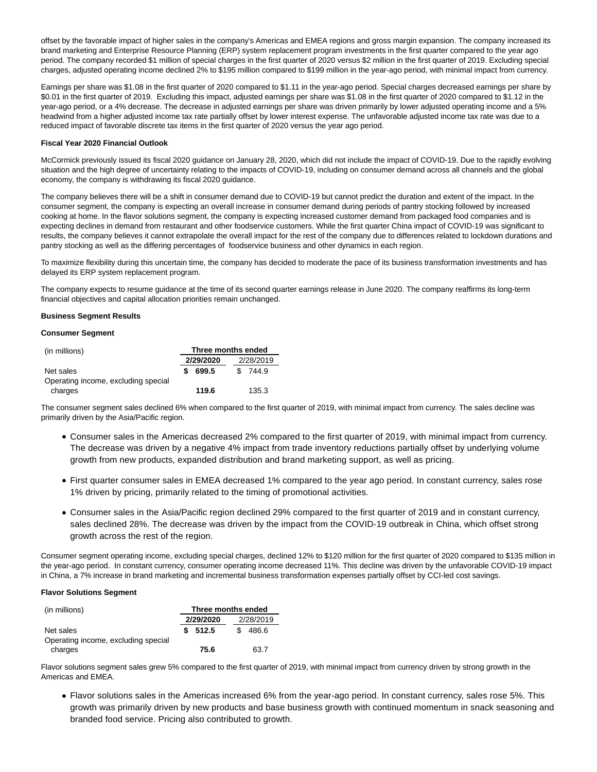offset by the favorable impact of higher sales in the company's Americas and EMEA regions and gross margin expansion. The company increased its brand marketing and Enterprise Resource Planning (ERP) system replacement program investments in the first quarter compared to the year ago period. The company recorded \$1 million of special charges in the first quarter of 2020 versus \$2 million in the first quarter of 2019. Excluding special charges, adjusted operating income declined 2% to \$195 million compared to \$199 million in the year-ago period, with minimal impact from currency.

Earnings per share was \$1.08 in the first quarter of 2020 compared to \$1.11 in the year-ago period. Special charges decreased earnings per share by \$0.01 in the first quarter of 2019. Excluding this impact, adjusted earnings per share was \$1.08 in the first quarter of 2020 compared to \$1.12 in the year-ago period, or a 4% decrease. The decrease in adjusted earnings per share was driven primarily by lower adjusted operating income and a 5% headwind from a higher adjusted income tax rate partially offset by lower interest expense. The unfavorable adjusted income tax rate was due to a reduced impact of favorable discrete tax items in the first quarter of 2020 versus the year ago period.

#### **Fiscal Year 2020 Financial Outlook**

McCormick previously issued its fiscal 2020 guidance on January 28, 2020, which did not include the impact of COVID-19. Due to the rapidly evolving situation and the high degree of uncertainty relating to the impacts of COVID-19, including on consumer demand across all channels and the global economy, the company is withdrawing its fiscal 2020 guidance.

The company believes there will be a shift in consumer demand due to COVID-19 but cannot predict the duration and extent of the impact. In the consumer segment, the company is expecting an overall increase in consumer demand during periods of pantry stocking followed by increased cooking at home. In the flavor solutions segment, the company is expecting increased customer demand from packaged food companies and is expecting declines in demand from restaurant and other foodservice customers. While the first quarter China impact of COVID-19 was significant to results, the company believes it cannot extrapolate the overall impact for the rest of the company due to differences related to lockdown durations and pantry stocking as well as the differing percentages of foodservice business and other dynamics in each region.

To maximize flexibility during this uncertain time, the company has decided to moderate the pace of its business transformation investments and has delayed its ERP system replacement program.

The company expects to resume guidance at the time of its second quarter earnings release in June 2020. The company reaffirms its long-term financial objectives and capital allocation priorities remain unchanged.

#### **Business Segment Results**

#### **Consumer Segment**

| (in millions)                       | Three months ended |           |           |
|-------------------------------------|--------------------|-----------|-----------|
|                                     |                    | 2/29/2020 | 2/28/2019 |
| Net sales                           |                    | 699.5     | \$744.9   |
| Operating income, excluding special |                    |           |           |
| charges                             |                    | 119.6     | 135.3     |

The consumer segment sales declined 6% when compared to the first quarter of 2019, with minimal impact from currency. The sales decline was primarily driven by the Asia/Pacific region.

- Consumer sales in the Americas decreased 2% compared to the first quarter of 2019, with minimal impact from currency. The decrease was driven by a negative 4% impact from trade inventory reductions partially offset by underlying volume growth from new products, expanded distribution and brand marketing support, as well as pricing.
- First quarter consumer sales in EMEA decreased 1% compared to the year ago period. In constant currency, sales rose 1% driven by pricing, primarily related to the timing of promotional activities.
- Consumer sales in the Asia/Pacific region declined 29% compared to the first quarter of 2019 and in constant currency, sales declined 28%. The decrease was driven by the impact from the COVID-19 outbreak in China, which offset strong growth across the rest of the region.

Consumer segment operating income, excluding special charges, declined 12% to \$120 million for the first quarter of 2020 compared to \$135 million in the year-ago period. In constant currency, consumer operating income decreased 11%. This decline was driven by the unfavorable COVID-19 impact in China, a 7% increase in brand marketing and incremental business transformation expenses partially offset by CCI-led cost savings.

#### **Flavor Solutions Segment**

| (in millions)                       | Three months ended |           |  |           |  |
|-------------------------------------|--------------------|-----------|--|-----------|--|
|                                     |                    | 2/29/2020 |  | 2/28/2019 |  |
| Net sales                           |                    | \$512.5   |  | 486.6     |  |
| Operating income, excluding special |                    |           |  |           |  |
| charges                             |                    | 75.6      |  | 63.7      |  |

Flavor solutions segment sales grew 5% compared to the first quarter of 2019, with minimal impact from currency driven by strong growth in the Americas and EMEA.

Flavor solutions sales in the Americas increased 6% from the year-ago period. In constant currency, sales rose 5%. This growth was primarily driven by new products and base business growth with continued momentum in snack seasoning and branded food service. Pricing also contributed to growth.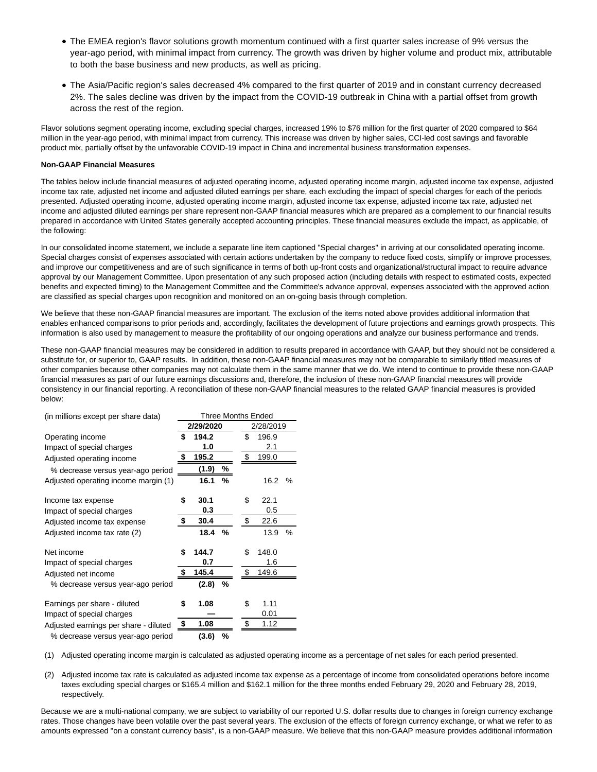- The EMEA region's flavor solutions growth momentum continued with a first quarter sales increase of 9% versus the year-ago period, with minimal impact from currency. The growth was driven by higher volume and product mix, attributable to both the base business and new products, as well as pricing.
- The Asia/Pacific region's sales decreased 4% compared to the first quarter of 2019 and in constant currency decreased 2%. The sales decline was driven by the impact from the COVID-19 outbreak in China with a partial offset from growth across the rest of the region.

Flavor solutions segment operating income, excluding special charges, increased 19% to \$76 million for the first quarter of 2020 compared to \$64 million in the year-ago period, with minimal impact from currency. This increase was driven by higher sales, CCI-led cost savings and favorable product mix, partially offset by the unfavorable COVID-19 impact in China and incremental business transformation expenses.

#### **Non-GAAP Financial Measures**

The tables below include financial measures of adjusted operating income, adjusted operating income margin, adjusted income tax expense, adjusted income tax rate, adjusted net income and adjusted diluted earnings per share, each excluding the impact of special charges for each of the periods presented. Adjusted operating income, adjusted operating income margin, adjusted income tax expense, adjusted income tax rate, adjusted net income and adjusted diluted earnings per share represent non-GAAP financial measures which are prepared as a complement to our financial results prepared in accordance with United States generally accepted accounting principles. These financial measures exclude the impact, as applicable, of the following:

In our consolidated income statement, we include a separate line item captioned "Special charges" in arriving at our consolidated operating income. Special charges consist of expenses associated with certain actions undertaken by the company to reduce fixed costs, simplify or improve processes, and improve our competitiveness and are of such significance in terms of both up-front costs and organizational/structural impact to require advance approval by our Management Committee. Upon presentation of any such proposed action (including details with respect to estimated costs, expected benefits and expected timing) to the Management Committee and the Committee's advance approval, expenses associated with the approved action are classified as special charges upon recognition and monitored on an on-going basis through completion.

We believe that these non-GAAP financial measures are important. The exclusion of the items noted above provides additional information that enables enhanced comparisons to prior periods and, accordingly, facilitates the development of future projections and earnings growth prospects. This information is also used by management to measure the profitability of our ongoing operations and analyze our business performance and trends.

These non-GAAP financial measures may be considered in addition to results prepared in accordance with GAAP, but they should not be considered a substitute for, or superior to, GAAP results. In addition, these non-GAAP financial measures may not be comparable to similarly titled measures of other companies because other companies may not calculate them in the same manner that we do. We intend to continue to provide these non-GAAP financial measures as part of our future earnings discussions and, therefore, the inclusion of these non-GAAP financial measures will provide consistency in our financial reporting. A reconciliation of these non-GAAP financial measures to the related GAAP financial measures is provided below:

| (in millions except per share data)   | Three Months Ended      |       |               |    |           |   |  |
|---------------------------------------|-------------------------|-------|---------------|----|-----------|---|--|
|                                       | 2/29/2020               |       |               |    | 2/28/2019 |   |  |
| Operating income                      | \$                      | 194.2 |               | \$ | 196.9     |   |  |
| Impact of special charges             |                         | 1.0   |               |    | 2.1       |   |  |
| Adjusted operating income             | \$                      | 195.2 |               | \$ | 199.0     |   |  |
| % decrease versus year-ago period     |                         | (1.9) | $\frac{9}{6}$ |    |           |   |  |
| Adjusted operating income margin (1)  |                         | 16.1  | %             |    | 16.2      | % |  |
|                                       |                         |       |               |    |           |   |  |
| Income tax expense                    | \$                      | 30.1  |               | \$ | 22.1      |   |  |
| Impact of special charges             |                         | 0.3   |               |    | 0.5       |   |  |
| Adjusted income tax expense           | \$                      | 30.4  |               | \$ | 22.6      |   |  |
| Adjusted income tax rate (2)          |                         | 18.4  | %             |    | 13.9      | % |  |
| Net income                            | \$                      | 144.7 |               | \$ | 148.0     |   |  |
| Impact of special charges             |                         | 0.7   |               |    | 1.6       |   |  |
| Adjusted net income                   | \$                      | 145.4 |               | \$ | 149.6     |   |  |
| % decrease versus year-ago period     |                         | (2.8) | %             |    |           |   |  |
|                                       |                         |       |               |    |           |   |  |
| Earnings per share - diluted          | \$                      | 1.08  |               | \$ | 1.11      |   |  |
| Impact of special charges             |                         |       |               |    | 0.01      |   |  |
| Adjusted earnings per share - diluted | $\overline{\mathbf{z}}$ | 1.08  |               | \$ | 1.12      |   |  |
| % decrease versus year-ago period     |                         | (3.6) | %             |    |           |   |  |

(1) Adjusted operating income margin is calculated as adjusted operating income as a percentage of net sales for each period presented.

(2) Adjusted income tax rate is calculated as adjusted income tax expense as a percentage of income from consolidated operations before income taxes excluding special charges or \$165.4 million and \$162.1 million for the three months ended February 29, 2020 and February 28, 2019, respectively.

Because we are a multi-national company, we are subject to variability of our reported U.S. dollar results due to changes in foreign currency exchange rates. Those changes have been volatile over the past several years. The exclusion of the effects of foreign currency exchange, or what we refer to as amounts expressed "on a constant currency basis", is a non-GAAP measure. We believe that this non-GAAP measure provides additional information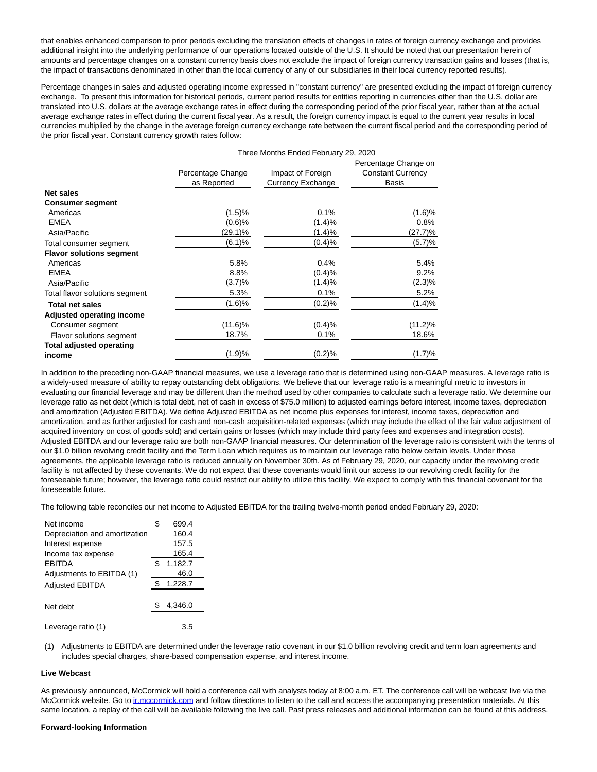that enables enhanced comparison to prior periods excluding the translation effects of changes in rates of foreign currency exchange and provides additional insight into the underlying performance of our operations located outside of the U.S. It should be noted that our presentation herein of amounts and percentage changes on a constant currency basis does not exclude the impact of foreign currency transaction gains and losses (that is, the impact of transactions denominated in other than the local currency of any of our subsidiaries in their local currency reported results).

Percentage changes in sales and adjusted operating income expressed in "constant currency" are presented excluding the impact of foreign currency exchange. To present this information for historical periods, current period results for entities reporting in currencies other than the U.S. dollar are translated into U.S. dollars at the average exchange rates in effect during the corresponding period of the prior fiscal year, rather than at the actual average exchange rates in effect during the current fiscal year. As a result, the foreign currency impact is equal to the current year results in local currencies multiplied by the change in the average foreign currency exchange rate between the current fiscal period and the corresponding period of the prior fiscal year. Constant currency growth rates follow:

|                                 | Three Months Ended February 29, 2020 |                                        |                                                                  |  |  |
|---------------------------------|--------------------------------------|----------------------------------------|------------------------------------------------------------------|--|--|
|                                 | Percentage Change<br>as Reported     | Impact of Foreign<br>Currency Exchange | Percentage Change on<br><b>Constant Currency</b><br><b>Basis</b> |  |  |
| Net sales                       |                                      |                                        |                                                                  |  |  |
| <b>Consumer segment</b>         |                                      |                                        |                                                                  |  |  |
| Americas                        | (1.5)%                               | 0.1%                                   | (1.6)%                                                           |  |  |
| <b>EMEA</b>                     | (0.6)%                               | (1.4)%                                 | 0.8%                                                             |  |  |
| Asia/Pacific                    | (29.1)%                              | (1.4)%                                 | (27.7)%                                                          |  |  |
| Total consumer segment          | (6.1)%                               | (0.4)%                                 | (5.7)%                                                           |  |  |
| <b>Flavor solutions segment</b> |                                      |                                        |                                                                  |  |  |
| Americas                        | 5.8%                                 | 0.4%                                   | 5.4%                                                             |  |  |
| <b>EMEA</b>                     | 8.8%                                 | (0.4)%                                 | $9.2\%$                                                          |  |  |
| Asia/Pacific                    | (3.7)%                               | (1.4)%                                 | $(2.3)\%$                                                        |  |  |
| Total flavor solutions segment  | 5.3%                                 | 0.1%                                   | 5.2%                                                             |  |  |
| <b>Total net sales</b>          | (1.6)%                               | (0.2)%                                 | (1.4)%                                                           |  |  |
| Adjusted operating income       |                                      |                                        |                                                                  |  |  |
| Consumer segment                | $(11.6)\%$                           | (0.4)%                                 | $(11.2)\%$                                                       |  |  |
| Flavor solutions segment        | 18.7%                                | 0.1%                                   | 18.6%                                                            |  |  |
| <b>Total adjusted operating</b> |                                      |                                        |                                                                  |  |  |
| income                          | (1.9)%                               | $(0.2)\%$                              | (1.7)%                                                           |  |  |

In addition to the preceding non-GAAP financial measures, we use a leverage ratio that is determined using non-GAAP measures. A leverage ratio is a widely-used measure of ability to repay outstanding debt obligations. We believe that our leverage ratio is a meaningful metric to investors in evaluating our financial leverage and may be different than the method used by other companies to calculate such a leverage ratio. We determine our leverage ratio as net debt (which is total debt, net of cash in excess of \$75.0 million) to adjusted earnings before interest, income taxes, depreciation and amortization (Adjusted EBITDA). We define Adjusted EBITDA as net income plus expenses for interest, income taxes, depreciation and amortization, and as further adjusted for cash and non-cash acquisition-related expenses (which may include the effect of the fair value adjustment of acquired inventory on cost of goods sold) and certain gains or losses (which may include third party fees and expenses and integration costs). Adjusted EBITDA and our leverage ratio are both non-GAAP financial measures. Our determination of the leverage ratio is consistent with the terms of our \$1.0 billion revolving credit facility and the Term Loan which requires us to maintain our leverage ratio below certain levels. Under those agreements, the applicable leverage ratio is reduced annually on November 30th. As of February 29, 2020, our capacity under the revolving credit facility is not affected by these covenants. We do not expect that these covenants would limit our access to our revolving credit facility for the foreseeable future; however, the leverage ratio could restrict our ability to utilize this facility. We expect to comply with this financial covenant for the foreseeable future.

The following table reconciles our net income to Adjusted EBITDA for the trailing twelve-month period ended February 29, 2020:

| Net income                    | S | 699.4   |
|-------------------------------|---|---------|
| Depreciation and amortization |   | 160.4   |
| Interest expense              |   | 157.5   |
| Income tax expense            |   | 165.4   |
| <b>FRITDA</b>                 | S | 1,182.7 |
| Adjustments to EBITDA (1)     |   | 46.0    |
| <b>Adjusted EBITDA</b>        |   | 1,228.7 |
|                               |   |         |
| Net debt                      |   | 4,346.0 |
|                               |   |         |
| Leverage ratio (1)            |   | 3.5     |

(1) Adjustments to EBITDA are determined under the leverage ratio covenant in our \$1.0 billion revolving credit and term loan agreements and includes special charges, share-based compensation expense, and interest income.

#### **Live Webcast**

As previously announced, McCormick will hold a conference call with analysts today at 8:00 a.m. ET. The conference call will be webcast live via the McCormick website. Go to in mccormick com and follow directions to listen to the call and access the accompanying presentation materials. At this same location, a replay of the call will be available following the live call. Past press releases and additional information can be found at this address.

#### **Forward-looking Information**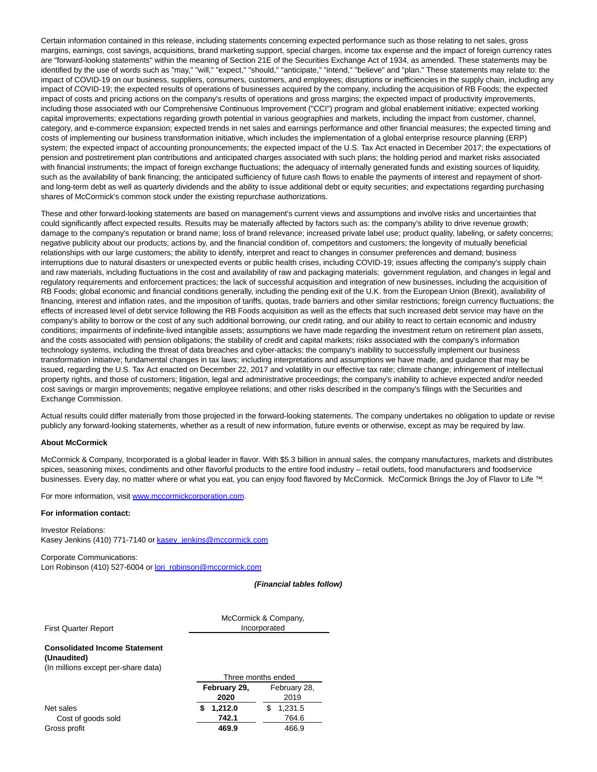Certain information contained in this release, including statements concerning expected performance such as those relating to net sales, gross margins, earnings, cost savings, acquisitions, brand marketing support, special charges, income tax expense and the impact of foreign currency rates are "forward-looking statements" within the meaning of Section 21E of the Securities Exchange Act of 1934, as amended. These statements may be identified by the use of words such as "may," "will," "expect," "should," "anticipate," "intend," "believe" and "plan." These statements may relate to: the impact of COVID-19 on our business, suppliers, consumers, customers, and employees; disruptions or inefficiencies in the supply chain, including any impact of COVID-19; the expected results of operations of businesses acquired by the company, including the acquisition of RB Foods; the expected impact of costs and pricing actions on the company's results of operations and gross margins; the expected impact of productivity improvements, including those associated with our Comprehensive Continuous Improvement ("CCI") program and global enablement initiative; expected working capital improvements; expectations regarding growth potential in various geographies and markets, including the impact from customer, channel, category, and e-commerce expansion; expected trends in net sales and earnings performance and other financial measures; the expected timing and costs of implementing our business transformation initiative, which includes the implementation of a global enterprise resource planning (ERP) system; the expected impact of accounting pronouncements; the expected impact of the U.S. Tax Act enacted in December 2017; the expectations of pension and postretirement plan contributions and anticipated charges associated with such plans; the holding period and market risks associated with financial instruments; the impact of foreign exchange fluctuations; the adequacy of internally generated funds and existing sources of liquidity, such as the availability of bank financing; the anticipated sufficiency of future cash flows to enable the payments of interest and repayment of shortand long-term debt as well as quarterly dividends and the ability to issue additional debt or equity securities; and expectations regarding purchasing shares of McCormick's common stock under the existing repurchase authorizations.

These and other forward-looking statements are based on management's current views and assumptions and involve risks and uncertainties that could significantly affect expected results. Results may be materially affected by factors such as: the company's ability to drive revenue growth; damage to the company's reputation or brand name; loss of brand relevance; increased private label use; product quality, labeling, or safety concerns; negative publicity about our products; actions by, and the financial condition of, competitors and customers; the longevity of mutually beneficial relationships with our large customers; the ability to identify, interpret and react to changes in consumer preferences and demand; business interruptions due to natural disasters or unexpected events or public health crises, including COVID-19; issues affecting the company's supply chain and raw materials, including fluctuations in the cost and availability of raw and packaging materials; government regulation, and changes in legal and regulatory requirements and enforcement practices; the lack of successful acquisition and integration of new businesses, including the acquisition of RB Foods; global economic and financial conditions generally, including the pending exit of the U.K. from the European Union (Brexit), availability of financing, interest and inflation rates, and the imposition of tariffs, quotas, trade barriers and other similar restrictions; foreign currency fluctuations; the effects of increased level of debt service following the RB Foods acquisition as well as the effects that such increased debt service may have on the company's ability to borrow or the cost of any such additional borrowing, our credit rating, and our ability to react to certain economic and industry conditions; impairments of indefinite-lived intangible assets; assumptions we have made regarding the investment return on retirement plan assets, and the costs associated with pension obligations; the stability of credit and capital markets; risks associated with the company's information technology systems, including the threat of data breaches and cyber-attacks; the company's inability to successfully implement our business transformation initiative; fundamental changes in tax laws; including interpretations and assumptions we have made, and guidance that may be issued, regarding the U.S. Tax Act enacted on December 22, 2017 and volatility in our effective tax rate; climate change; infringement of intellectual property rights, and those of customers; litigation, legal and administrative proceedings; the company's inability to achieve expected and/or needed cost savings or margin improvements; negative employee relations; and other risks described in the company's filings with the Securities and Exchange Commission.

Actual results could differ materially from those projected in the forward-looking statements. The company undertakes no obligation to update or revise publicly any forward-looking statements, whether as a result of new information, future events or otherwise, except as may be required by law.

#### **About McCormick**

McCormick & Company, Incorporated is a global leader in flavor. With \$5.3 billion in annual sales, the company manufactures, markets and distributes spices, seasoning mixes, condiments and other flavorful products to the entire food industry – retail outlets, food manufacturers and foodservice businesses. Every day, no matter where or what you eat, you can enjoy food flavored by McCormick. McCormick Brings the Joy of Flavor to Life ™.

For more information, visit [www.mccormickcorporation.com.](https://c212.net/c/link/?t=0&l=en&o=2764468-1&h=1688144131&u=http%3A%2F%2Fwww.mccormickcorporation.com%2F&a=www.mccormickcorporation.com)

#### **For information contact:**

Investor Relations: Kasey Jenkins (410) 771-7140 or [kasey\\_jenkins@mccormick.com](mailto:kasey_jenkins@mccormick.com)

Corporate Communications: Lori Robinson (410) 527-6004 or [lori\\_robinson@mccormick.com](mailto:lori_robinson@mccormick.com)

**(Financial tables follow)**

First Quarter Report

McCormick & Company, Incorporated

Three months ended

#### **Consolidated Income Statement (Unaudited)**

(In millions except per-share data)

|                    | February 29, | February 28, |  |  |
|--------------------|--------------|--------------|--|--|
|                    | 2020         | 2019         |  |  |
| Net sales          | 1,212.0      | 1,231.5      |  |  |
| Cost of goods sold | 742.1        | 764.6        |  |  |
| Gross profit       | 469.9        | 466.9        |  |  |
|                    |              |              |  |  |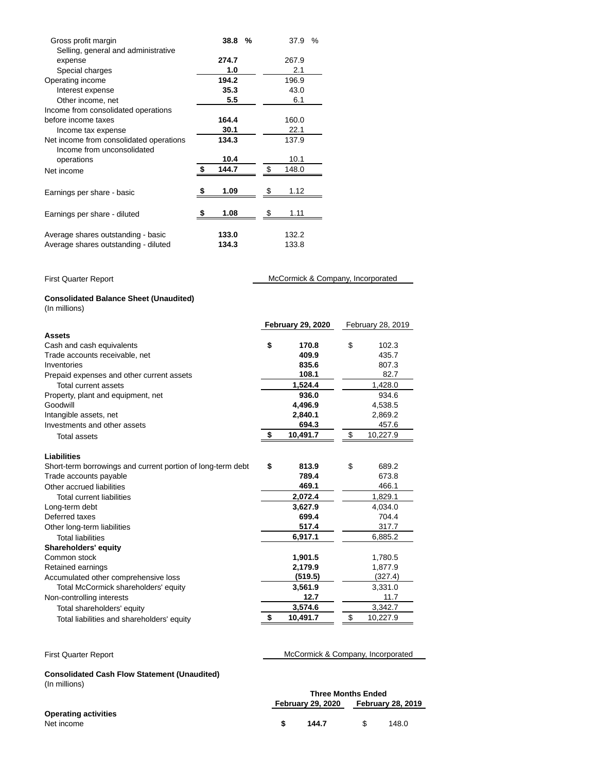| Gross profit margin                     | 38.8        | % | 37.9  | % |
|-----------------------------------------|-------------|---|-------|---|
| Selling, general and administrative     |             |   |       |   |
| expense                                 | 274.7       |   | 267.9 |   |
| Special charges                         | 1.0         |   | 2.1   |   |
| Operating income                        | 194.2       |   | 196.9 |   |
| Interest expense                        | 35.3        |   | 43.0  |   |
| Other income, net                       | 5.5         |   | 6.1   |   |
| Income from consolidated operations     |             |   |       |   |
| before income taxes                     | 164.4       |   | 160.0 |   |
| Income tax expense                      | 30.1        |   | 22.1  |   |
| Net income from consolidated operations | 134.3       |   | 137.9 |   |
| Income from unconsolidated              |             |   |       |   |
|                                         | 10.4        |   | 10.1  |   |
| operations                              | \$<br>144.7 |   | 148.0 |   |
| Net income                              |             |   |       |   |
|                                         |             |   |       |   |
| Earnings per share - basic              | 1.09        |   | 1.12  |   |
|                                         |             |   |       |   |
| Earnings per share - diluted            | 1.08        |   | 1.11  |   |
|                                         |             |   |       |   |
| Average shares outstanding - basic      | 133.0       |   | 132.2 |   |
| Average shares outstanding - diluted    | 134.3       |   | 133.8 |   |
|                                         |             |   |       |   |

| <b>First Quarter Report</b>                                    | McCormick & Company, Incorporated |                          |    |                   |
|----------------------------------------------------------------|-----------------------------------|--------------------------|----|-------------------|
| <b>Consolidated Balance Sheet (Unaudited)</b><br>(In millions) |                                   |                          |    |                   |
|                                                                |                                   | <b>February 29, 2020</b> |    | February 28, 2019 |
| <b>Assets</b>                                                  |                                   |                          |    |                   |
| Cash and cash equivalents                                      | \$                                | 170.8                    | \$ | 102.3             |
| Trade accounts receivable, net                                 |                                   | 409.9                    |    | 435.7             |
| Inventories                                                    |                                   | 835.6                    |    | 807.3             |
| Prepaid expenses and other current assets                      |                                   | 108.1                    |    | 82.7              |
| Total current assets                                           |                                   | 1,524.4                  |    | 1,428.0           |
| Property, plant and equipment, net                             |                                   | 936.0                    |    | 934.6             |
| Goodwill                                                       |                                   | 4,496.9                  |    | 4,538.5           |
| Intangible assets, net                                         |                                   | 2,840.1                  |    | 2,869.2           |
| Investments and other assets                                   |                                   | 694.3                    |    | 457.6             |
| <b>Total assets</b>                                            | \$                                | 10,491.7                 | \$ | 10,227.9          |
| <b>Liabilities</b>                                             |                                   |                          |    |                   |
| Short-term borrowings and current portion of long-term debt    | \$                                | 813.9                    | \$ | 689.2             |
| Trade accounts payable                                         |                                   | 789.4                    |    | 673.8             |
| Other accrued liabilities                                      |                                   | 469.1                    |    | 466.1             |
| <b>Total current liabilities</b>                               |                                   | 2,072.4                  |    | 1,829.1           |
| Long-term debt                                                 |                                   | 3,627.9                  |    | 4,034.0           |
| Deferred taxes                                                 |                                   | 699.4                    |    | 704.4             |
| Other long-term liabilities                                    |                                   | 517.4                    |    | 317.7             |
| <b>Total liabilities</b>                                       |                                   | 6,917.1                  |    | 6,885.2           |
| Shareholders' equity                                           |                                   |                          |    |                   |
| Common stock                                                   |                                   | 1,901.5                  |    | 1,780.5           |
| Retained earnings                                              |                                   | 2,179.9                  |    | 1,877.9           |
| Accumulated other comprehensive loss                           |                                   | (519.5)                  |    | (327.4)           |
| Total McCormick shareholders' equity                           |                                   | 3,561.9                  |    | 3,331.0           |
| Non-controlling interests                                      |                                   | 12.7                     |    | 11.7              |
| Total shareholders' equity                                     |                                   | 3,574.6                  |    | 3,342.7           |
| Total liabilities and shareholders' equity                     | \$                                | 10,491.7                 | \$ | 10,227.9          |

First Quarter Report **McCormick & Company**, Incorporated

# **Consolidated Cash Flow Statement (Unaudited)**

(In millions)

|                             | <b>Three Months Ended</b> |                          |       |  |
|-----------------------------|---------------------------|--------------------------|-------|--|
|                             | <b>February 29, 2020</b>  | <b>February 28, 2019</b> |       |  |
| <b>Operating activities</b> |                           |                          |       |  |
| Net income                  | 144.7                     |                          | 148.0 |  |